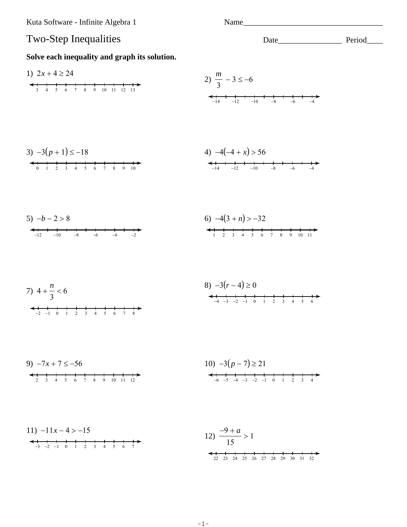Kuta Software - Infinite Algebra 1

Name

## **Two-Step Inequalities** Solve each inequality and graph its solution. 1)  $2x + 4 \ge 24$ 2)  $\frac{m}{3}$  – 3  $\leq$  –6  $\leftarrow +$   $-14$   $-12$   $-10$   $-8$   $-6$   $-4$ 4)  $-4(-4 + x) > 56$ 3)  $-3(p+1) \le -18$ 6)  $-4(3 + n) > -32$  $5) -b - 2 > 8$ 8)  $-3(r-4) \ge 0$ 7)  $4 + \frac{n}{3} < 6$  $-4$   $-3$   $-2$   $-1$  0 1 2 3 4 5 6  $-2$  -1 0 1 2 3 4 5 6 7 8 9)  $-7x + 7 \le -56$ 10)  $-3(p-7) \ge 21$  $\leftarrow$   $\leftarrow$   $\leftarrow$   $\leftarrow$   $\leftarrow$   $\leftarrow$   $\leftarrow$   $\leftarrow$   $\leftarrow$   $\leftarrow$   $\leftarrow$   $\leftarrow$   $\leftarrow$   $\leftarrow$   $\leftarrow$   $\leftarrow$   $\leftarrow$   $\leftarrow$   $\leftarrow$   $\leftarrow$   $\leftarrow$   $\leftarrow$   $\leftarrow$   $\leftarrow$   $\leftarrow$   $\leftarrow$   $\leftarrow$   $\leftarrow$   $\leftarrow$   $\leftarrow$   $\leftarrow$   $\leftarrow$   $\leftarrow$   $\leftarrow$   $\leftarrow$   $\leftarrow$   $\leftarrow$ 11)  $-11x-4 > -15$ 12)  $\frac{-9 + a}{15} > 1$  $-3$   $-2$   $-1$  0 1 2 3 4 5 6 7  $\leftarrow$   $\leftarrow$   $\leftarrow$   $\leftarrow$   $\leftarrow$   $\leftarrow$   $\leftarrow$   $\leftarrow$   $\leftarrow$   $\leftarrow$   $\leftarrow$   $\leftarrow$   $\leftarrow$   $\leftarrow$   $\leftarrow$   $\leftarrow$   $\leftarrow$   $\leftarrow$   $\leftarrow$   $\leftarrow$   $\leftarrow$   $\leftarrow$   $\leftarrow$   $\leftarrow$   $\leftarrow$   $\leftarrow$   $\leftarrow$   $\leftarrow$   $\leftarrow$   $\leftarrow$   $\leftarrow$   $\leftarrow$   $\leftarrow$   $\leftarrow$   $\leftarrow$   $\leftarrow$   $\leftarrow$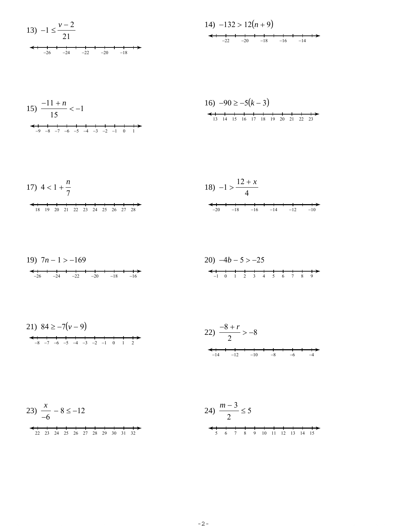13) 
$$
-1 \le \frac{v-2}{21}
$$
  
  
 $\leftarrow$  1  
 $-26$   $-24$   $-22$   $-20$   $-18$ 

15) 
$$
\frac{-11 + n}{15} < -1
$$

16) 
$$
-90 \ge -5(k-3)
$$
  
  
 $13 + 14 + 15 + 16 + 17 + 18 + 19 + 20 + 21 + 22 + 23$ 

17) 
$$
4 < 1 + \frac{n}{7}
$$
  
\n $18) -1 > \frac{12 + x}{4}$   
\n $18 + \frac{1}{18} + \frac{1}{18} + \frac{1}{18} + \frac{1}{18} + \frac{1}{18} + \frac{1}{18} + \frac{1}{18} + \frac{1}{18} + \frac{1}{18} + \frac{1}{18} + \frac{1}{18} + \frac{1}{18} + \frac{1}{18} + \frac{1}{18} + \frac{1}{18} + \frac{1}{18} + \frac{1}{18} + \frac{1}{18} + \frac{1}{18} + \frac{1}{18} + \frac{1}{18} + \frac{1}{18} + \frac{1}{18} + \frac{1}{18} + \frac{1}{18} + \frac{1}{18} + \frac{1}{18} + \frac{1}{18} + \frac{1}{18} + \frac{1}{18} + \frac{1}{18} + \frac{1}{18} + \frac{1}{18} + \frac{1}{18} + \frac{1}{18} + \frac{1}{18} + \frac{1}{18} + \frac{1}{18} + \frac{1}{18} + \frac{1}{18} + \frac{1}{18} + \frac{1}{18} + \frac{1}{18} + \frac{1}{18} + \frac{1}{18} + \frac{1}{18} + \frac{1}{18} + \frac{1}{18} + \frac{1}{18} + \frac{1}{18} + \frac{1}{18} + \frac{1}{18} + \frac{1}{18} + \frac{1}{18} + \frac{1}{18} + \frac{1}{18} + \frac{1}{18} + \frac{1}{18} + \frac{1}{18} + \frac{1}{18} + \frac{1}{18} + \frac{1}{18} + \frac{1}{18} + \frac{1}{18} + \frac{1}{18} + \frac{1}{18} + \frac{1}{18} + \frac{1}{18} + \frac{1}{18} + \frac{1}{18} + \frac{1}{18} + \frac{1}{18} + \frac{1}{18} + \frac{1}{18} + \frac{1}{18} + \frac{1}{18} + \frac{1}{18} + \frac{1}{18} + \frac{1}{18} + \frac$ 

19) 
$$
7n-1 > -169
$$
  
\n $20) -4b-5 > -25$   
\n $100 - 12 = 3$   
\n $110 - 12 = 3$   
\n $110 - 12 = 3$   
\n $110 - 12 = 3$   
\n $110 - 12 = 3$ 

$$
23) \frac{x}{-6} - 8 \le -12
$$

$$
24) \frac{m-3}{2} \le 5
$$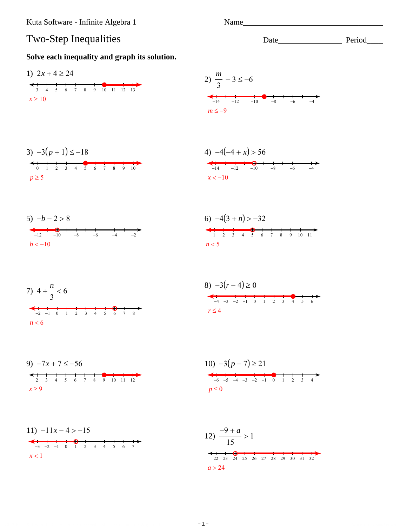Kuta Software - Infinite Algebra 1

## Two-Step Inequalities

## Solve each inequality and graph its solution.



Name

Date Period

 $-1-$